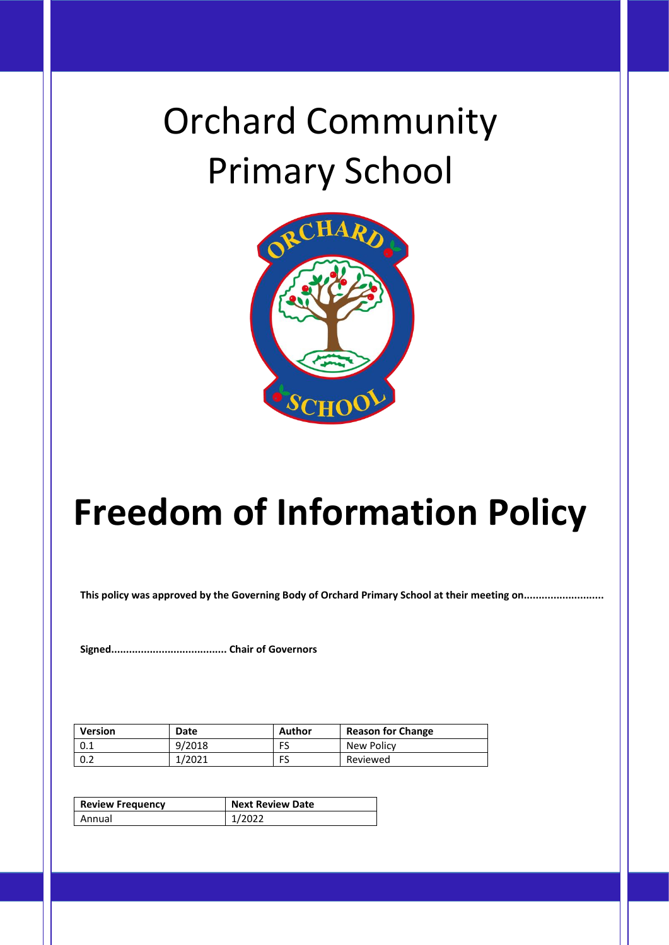# Orchard Community Primary School



# **Freedom of Information Policy**

**This policy was approved by the Governing Body of Orchard Primary School at their meeting on...........................**

**Signed....................................... Chair of Governors**

| Version | Date   | Author | <b>Reason for Change</b> |
|---------|--------|--------|--------------------------|
| 0.1     | 9/2018 | FS     | New Policy               |
| 0.2     | 1/2021 | FS     | Reviewed                 |

| <b>Review Frequency</b> | <b>Next Review Date</b> |  |
|-------------------------|-------------------------|--|
| Annual                  | 1/2022                  |  |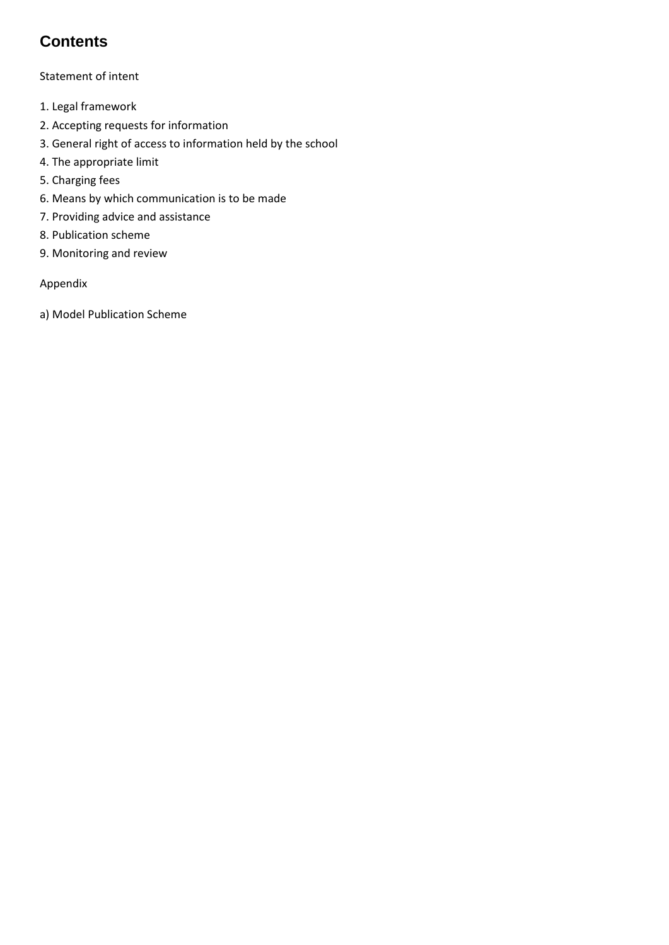# **Contents**

Statement of intent

- 1. Legal framework
- 2. Accepting requests for information
- 3. General right of access to information held by the school
- 4. The appropriate limit
- 5. Charging fees
- 6. Means by which communication is to be made
- 7. Providing advice and assistance
- 8. Publication scheme
- 9. Monitoring and review

#### Appendix

a) Model Publication Scheme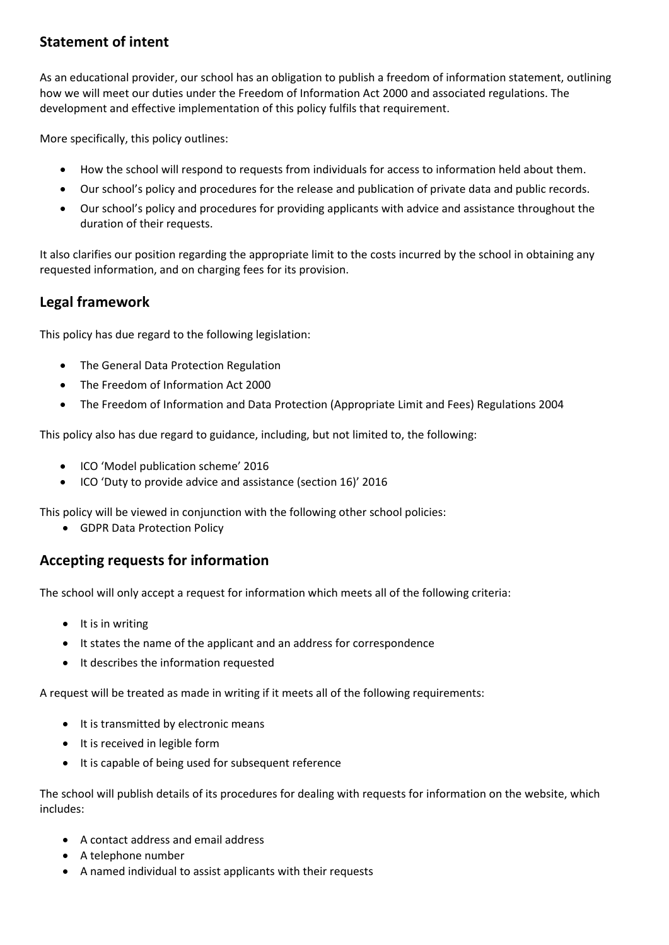## **Statement of intent**

As an educational provider, our school has an obligation to publish a freedom of information statement, outlining how we will meet our duties under the Freedom of Information Act 2000 and associated regulations. The development and effective implementation of this policy fulfils that requirement.

More specifically, this policy outlines:

- How the school will respond to requests from individuals for access to information held about them.
- Our school's policy and procedures for the release and publication of private data and public records.
- Our school's policy and procedures for providing applicants with advice and assistance throughout the duration of their requests.

It also clarifies our position regarding the appropriate limit to the costs incurred by the school in obtaining any requested information, and on charging fees for its provision.

## **Legal framework**

This policy has due regard to the following legislation:

- The General Data Protection Regulation
- The Freedom of Information Act 2000
- The Freedom of Information and Data Protection (Appropriate Limit and Fees) Regulations 2004

This policy also has due regard to guidance, including, but not limited to, the following:

- ICO 'Model publication scheme' 2016
- ICO 'Duty to provide advice and assistance (section 16)' 2016

This policy will be viewed in conjunction with the following other school policies:

• GDPR Data Protection Policy

## **Accepting requests for information**

The school will only accept a request for information which meets all of the following criteria:

- It is in writing
- It states the name of the applicant and an address for correspondence
- It describes the information requested

A request will be treated as made in writing if it meets all of the following requirements:

- It is transmitted by electronic means
- It is received in legible form
- It is capable of being used for subsequent reference

The school will publish details of its procedures for dealing with requests for information on the website, which includes:

- A contact address and email address
- A telephone number
- A named individual to assist applicants with their requests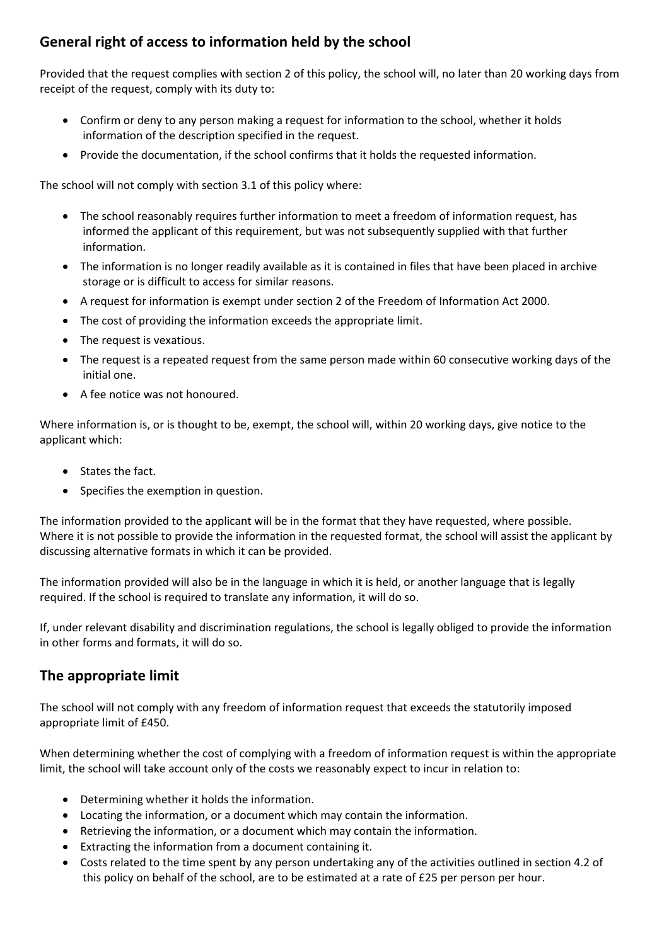## **General right of access to information held by the school**

Provided that the request complies with section 2 of this policy, the school will, no later than 20 working days from receipt of the request, comply with its duty to:

- Confirm or deny to any person making a request for information to the school, whether it holds information of the description specified in the request.
- Provide the documentation, if the school confirms that it holds the requested information.

The school will not comply with section 3.1 of this policy where:

- The school reasonably requires further information to meet a freedom of information request, has informed the applicant of this requirement, but was not subsequently supplied with that further information.
- The information is no longer readily available as it is contained in files that have been placed in archive storage or is difficult to access for similar reasons.
- A request for information is exempt under section 2 of the Freedom of Information Act 2000.
- The cost of providing the information exceeds the appropriate limit.
- The request is vexatious.
- The request is a repeated request from the same person made within 60 consecutive working days of the initial one.
- A fee notice was not honoured.

Where information is, or is thought to be, exempt, the school will, within 20 working days, give notice to the applicant which:

- States the fact.
- Specifies the exemption in question.

The information provided to the applicant will be in the format that they have requested, where possible. Where it is not possible to provide the information in the requested format, the school will assist the applicant by discussing alternative formats in which it can be provided.

The information provided will also be in the language in which it is held, or another language that is legally required. If the school is required to translate any information, it will do so.

If, under relevant disability and discrimination regulations, the school is legally obliged to provide the information in other forms and formats, it will do so.

### **The appropriate limit**

The school will not comply with any freedom of information request that exceeds the statutorily imposed appropriate limit of £450.

When determining whether the cost of complying with a freedom of information request is within the appropriate limit, the school will take account only of the costs we reasonably expect to incur in relation to:

- Determining whether it holds the information.
- Locating the information, or a document which may contain the information.
- Retrieving the information, or a document which may contain the information.
- Extracting the information from a document containing it.
- Costs related to the time spent by any person undertaking any of the activities outlined in section 4.2 of this policy on behalf of the school, are to be estimated at a rate of £25 per person per hour.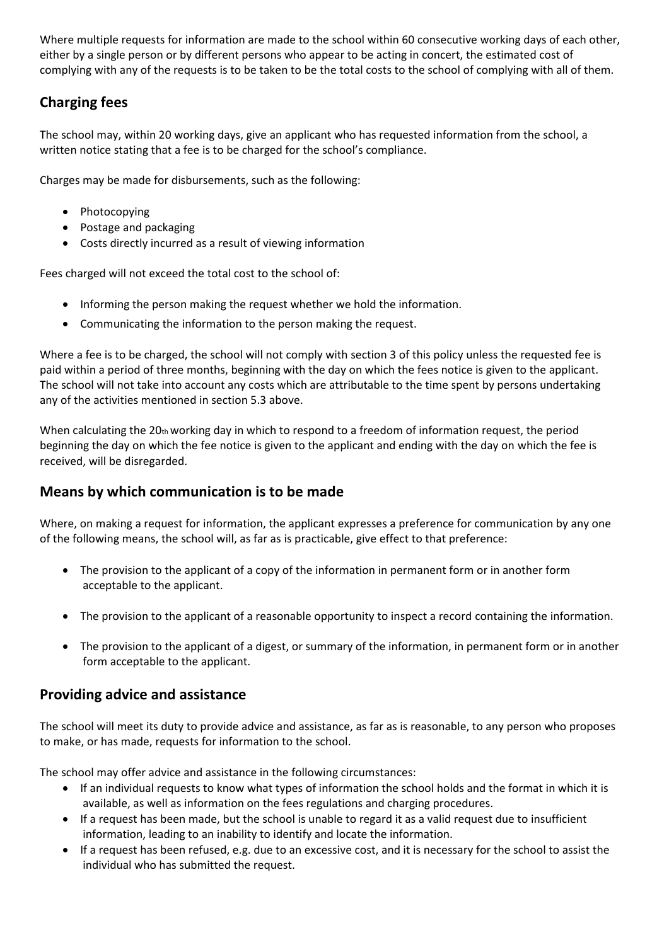Where multiple requests for information are made to the school within 60 consecutive working days of each other, either by a single person or by different persons who appear to be acting in concert, the estimated cost of complying with any of the requests is to be taken to be the total costs to the school of complying with all of them.

# **Charging fees**

The school may, within 20 working days, give an applicant who has requested information from the school, a written notice stating that a fee is to be charged for the school's compliance.

Charges may be made for disbursements, such as the following:

- Photocopying
- Postage and packaging
- Costs directly incurred as a result of viewing information

Fees charged will not exceed the total cost to the school of:

- Informing the person making the request whether we hold the information.
- Communicating the information to the person making the request.

Where a fee is to be charged, the school will not comply with section 3 of this policy unless the requested fee is paid within a period of three months, beginning with the day on which the fees notice is given to the applicant. The school will not take into account any costs which are attributable to the time spent by persons undertaking any of the activities mentioned in section 5.3 above.

When calculating the  $20<sub>th</sub>$  working day in which to respond to a freedom of information request, the period beginning the day on which the fee notice is given to the applicant and ending with the day on which the fee is received, will be disregarded.

### **Means by which communication is to be made**

Where, on making a request for information, the applicant expresses a preference for communication by any one of the following means, the school will, as far as is practicable, give effect to that preference:

- The provision to the applicant of a copy of the information in permanent form or in another form acceptable to the applicant.
- The provision to the applicant of a reasonable opportunity to inspect a record containing the information.
- The provision to the applicant of a digest, or summary of the information, in permanent form or in another form acceptable to the applicant.

### **Providing advice and assistance**

The school will meet its duty to provide advice and assistance, as far as is reasonable, to any person who proposes to make, or has made, requests for information to the school.

The school may offer advice and assistance in the following circumstances:

- If an individual requests to know what types of information the school holds and the format in which it is available, as well as information on the fees regulations and charging procedures.
- If a request has been made, but the school is unable to regard it as a valid request due to insufficient information, leading to an inability to identify and locate the information.
- If a request has been refused, e.g. due to an excessive cost, and it is necessary for the school to assist the individual who has submitted the request.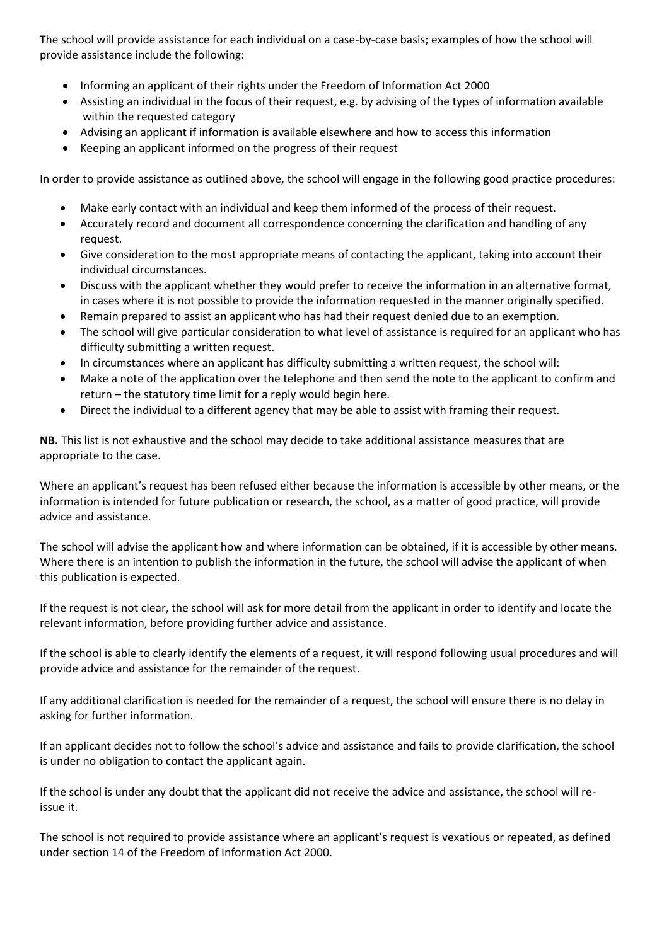The school will provide assistance for each individual on a case-by-case basis; examples of how the school will provide assistance include the following:

- Informing an applicant of their rights under the Freedom of Information Act 2000
- Assisting an individual in the focus of their request, e.g. by advising of the types of information available within the requested category
- Advising an applicant if information is available elsewhere and how to access this information
- Keeping an applicant informed on the progress of their request

In order to provide assistance as outlined above, the school will engage in the following good practice procedures:

- Make early contact with an individual and keep them informed of the process of their request.
- Accurately record and document all correspondence concerning the clarification and handling of any request.
- Give consideration to the most appropriate means of contacting the applicant, taking into account their individual circumstances.
- Discuss with the applicant whether they would prefer to receive the information in an alternative format, in cases where it is not possible to provide the information requested in the manner originally specified.
- Remain prepared to assist an applicant who has had their request denied due to an exemption.
- The school will give particular consideration to what level of assistance is required for an applicant who has difficulty submitting a written request.
- In circumstances where an applicant has difficulty submitting a written request, the school will:
- Make a note of the application over the telephone and then send the note to the applicant to confirm and return – the statutory time limit for a reply would begin here.
- Direct the individual to a different agency that may be able to assist with framing their request.

**NB.** This list is not exhaustive and the school may decide to take additional assistance measures that are appropriate to the case.

Where an applicant's request has been refused either because the information is accessible by other means, or the information is intended for future publication or research, the school, as a matter of good practice, will provide advice and assistance.

The school will advise the applicant how and where information can be obtained, if it is accessible by other means. Where there is an intention to publish the information in the future, the school will advise the applicant of when this publication is expected.

If the request is not clear, the school will ask for more detail from the applicant in order to identify and locate the relevant information, before providing further advice and assistance.

If the school is able to clearly identify the elements of a request, it will respond following usual procedures and will provide advice and assistance for the remainder of the request.

If any additional clarification is needed for the remainder of a request, the school will ensure there is no delay in asking for further information.

If an applicant decides not to follow the school's advice and assistance and fails to provide clarification, the school is under no obligation to contact the applicant again.

If the school is under any doubt that the applicant did not receive the advice and assistance, the school will reissue it.

The school is not required to provide assistance where an applicant's request is vexatious or repeated, as defined under section 14 of the Freedom of Information Act 2000.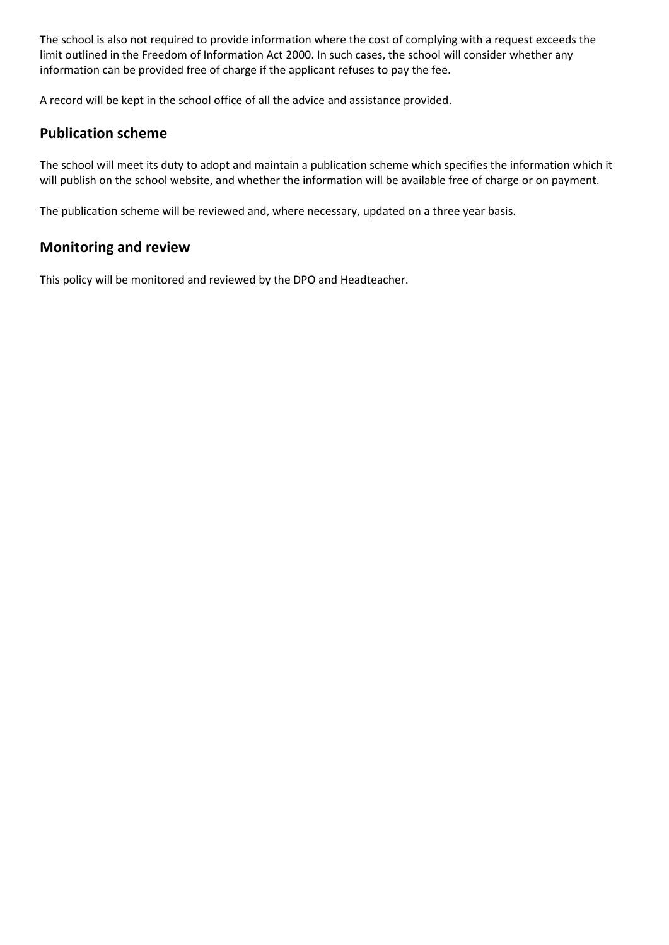The school is also not required to provide information where the cost of complying with a request exceeds the limit outlined in the Freedom of Information Act 2000. In such cases, the school will consider whether any information can be provided free of charge if the applicant refuses to pay the fee.

A record will be kept in the school office of all the advice and assistance provided.

#### **Publication scheme**

The school will meet its duty to adopt and maintain a publication scheme which specifies the information which it will publish on the school website, and whether the information will be available free of charge or on payment.

The publication scheme will be reviewed and, where necessary, updated on a three year basis.

#### **Monitoring and review**

This policy will be monitored and reviewed by the DPO and Headteacher.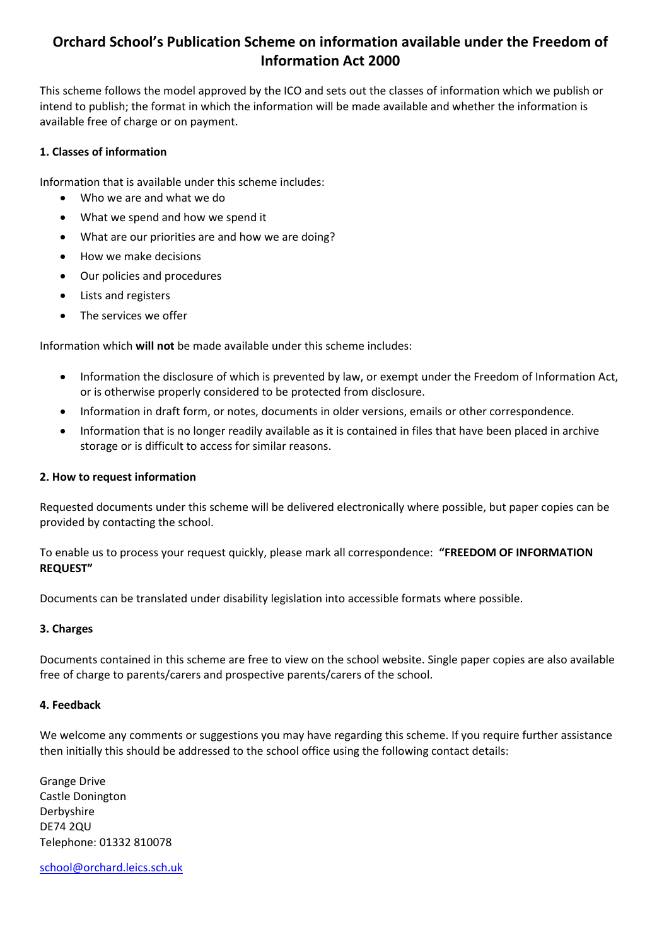## **Orchard School's Publication Scheme on information available under the Freedom of Information Act 2000**

This scheme follows the model approved by the ICO and sets out the classes of information which we publish or intend to publish; the format in which the information will be made available and whether the information is available free of charge or on payment.

#### **1. Classes of information**

Information that is available under this scheme includes:

- Who we are and what we do
- What we spend and how we spend it
- What are our priorities are and how we are doing?
- How we make decisions
- Our policies and procedures
- Lists and registers
- The services we offer

Information which **will not** be made available under this scheme includes:

- Information the disclosure of which is prevented by law, or exempt under the Freedom of Information Act, or is otherwise properly considered to be protected from disclosure.
- Information in draft form, or notes, documents in older versions, emails or other correspondence.
- Information that is no longer readily available as it is contained in files that have been placed in archive storage or is difficult to access for similar reasons.

#### **2. How to request information**

Requested documents under this scheme will be delivered electronically where possible, but paper copies can be provided by contacting the school.

To enable us to process your request quickly, please mark all correspondence: **"FREEDOM OF INFORMATION REQUEST"** 

Documents can be translated under disability legislation into accessible formats where possible.

#### **3. Charges**

Documents contained in this scheme are free to view on the school website. Single paper copies are also available free of charge to parents/carers and prospective parents/carers of the school.

#### **4. Feedback**

We welcome any comments or suggestions you may have regarding this scheme. If you require further assistance then initially this should be addressed to the school office using the following contact details:

Grange Drive Castle Donington Derbyshire DE74 2QU Telephone: 01332 810078

[school@orchard.leics.sch.uk](mailto:school@orchard.leics.sch.uk)